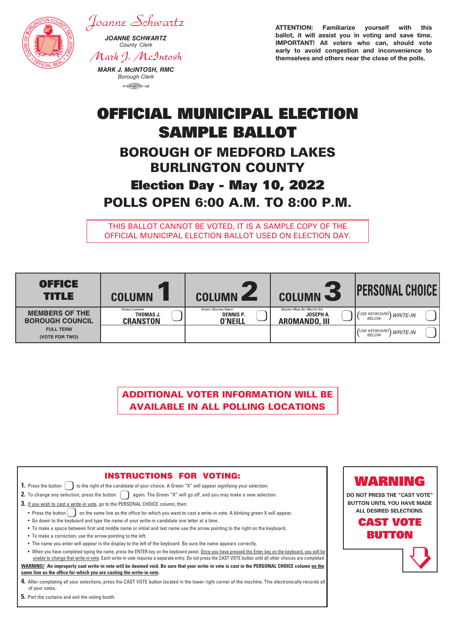

**5.** Part the curtains and exit the voting booth.

*Joanne Schwartz*

*JOANNE SCHWARTZ County Clerk*

*Mark J. McIntosh*

*MARK J. McINTOSH, RMC Borough Clerk*  $\circ$  (matrices)  $(20)$ 

ATTENTION: Familiarize yourself with this ballot, it will assist you in voting and save time. IMPORTANT! All voters who can, should vote early to avoid congestion and inconvenience to themselves and others near the close of the polls.

# OFFICIAL MUNICIPAL ELECTION SAMPLE BALLOT BOROUGH OF MEDFORD LAKES BURLINGTON COUNTY

## Election Day - May 10, 2022 POLLS OPEN 6:00 A.M. TO 8:00 P.M.

THIS BALLOT CANNOT BE VOTED, IT IS A SAMPLE COPY OF THE OFFICIAL MUNICIPAL ELECTION BALLOT USED ON ELECTION DAY.

| <b>OFFICE</b><br>TITLE                          | <b>PT</b><br><b>COLUMN</b>                                  | <b>1000</b><br><b>COLUMN</b>                                                | <b>COLUMN -2</b>                                                               | <b>PERSONAL CHOICE!</b>                          |
|-------------------------------------------------|-------------------------------------------------------------|-----------------------------------------------------------------------------|--------------------------------------------------------------------------------|--------------------------------------------------|
| <b>MEMBERS OF THE</b><br><b>BOROUGH COUNCIL</b> | <b>CONTINUED LEADERSHIP</b><br>THOMAS J.<br><b>CRANSTON</b> | <b>INTEGRITY, DEDICATION, HONESTY</b><br><b>DENNIS P.</b><br><b>O'NEILL</b> | <b>DEMOCRACY WORKS BEST WHEN YOU VOTE</b><br>JOSEPH A.<br><b>AROMANDO, III</b> | I (USE KEYBOARD) WRITE-IN<br><b>BELOW</b>        |
| <b>FULL TERM</b><br>(VOTE FOR TWO)              |                                                             |                                                                             |                                                                                | <b>I</b> (USE KEYBOARD) WRITE-IN<br><b>BELOW</b> |

ADDITIONAL VOTER INFORMATION WILL BE AVAILABLE IN ALL POLLING LOCATIONS

| <b>INSTRUCTIONS FOR VOTING:</b><br>to the right of the candidate of your choice. A Green "X" will appear signifying your selection.<br>1. Press the button                                                                                                                                                                                                                                                                                                                                                                                                                                                                                                                                                                                                                                        | WARNING                                                                                                                           |
|---------------------------------------------------------------------------------------------------------------------------------------------------------------------------------------------------------------------------------------------------------------------------------------------------------------------------------------------------------------------------------------------------------------------------------------------------------------------------------------------------------------------------------------------------------------------------------------------------------------------------------------------------------------------------------------------------------------------------------------------------------------------------------------------------|-----------------------------------------------------------------------------------------------------------------------------------|
| 2. To change any selection, press the button $\begin{pmatrix} 1 & 1 \end{pmatrix}$ again. The Green "X" will go off, and you may make a new selection.<br>3. If you wish to cast a write-in vote, go to the PERSONAL CHOICE column, then:<br>on the same line as the office for which you want to cast a write-in vote. A blinking green X will appear.<br>• Press the button<br>. Go down to the keyboard and type the name of your write-in candidate one letter at a time.<br>• To make a space between first and middle name or initial and last name use the arrow pointing to the right on the keyboard.<br>• To make a correction, use the arrow pointing to the left.<br>• The name you enter will appear in the display to the left of the keyboard. Be sure the name appears correctly. | DO NOT PRESS THE "CAST VOTE"<br><b>BUTTON UNTIL YOU HAVE MADE</b><br>ALL DESIRED SELECTIONS.<br><b>CAST VOTE</b><br><b>BUTTON</b> |
| . When you have completed typing the name, press the ENTER key on the keyboard panel. Once you have pressed the Enter key on the keyboard, you will be<br>unable to change that write-in vote. Each write-in vote requires a separate entry. Do not press the CAST VOTE button until all other choices are completed.<br>WARNING! An improperly cast write-in vote will be deemed void. Be sure that your write-in vote is cast in the PERSONAL CHOICE column on the<br>same line as the office for which you are casting the write-in vote.<br>4. After completing all your selections, press the CAST VOTE button located in the lower right corner of the machine. This electronically records all<br>of your votes.                                                                           |                                                                                                                                   |